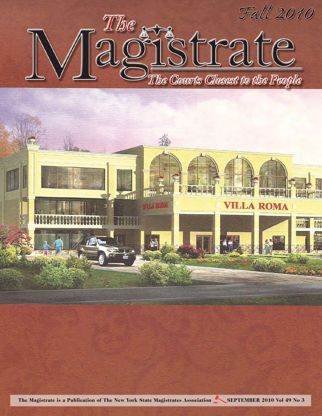

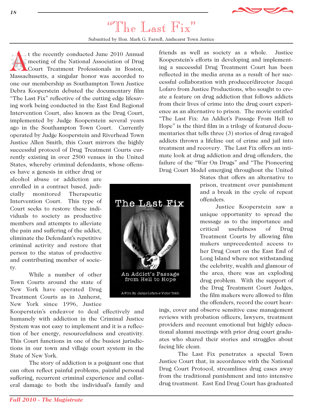

## "The Last Fix"

Submitted by Hon. Mark G. Farrell, Amhearst Town Justice

The Last Fix

An Addict's Passage from Hell to Hope

A Film By Jacqui Lofaro & Victor Teich

t the recently conducted June 2010 Annual<br>meeting of the National Association of Drug<br>Court Treatment Professionals in Boston,<br>Massachusetts, a singular bonor was accorded to meeting of the National Association of Drug Court Treatment Professionals in Boston, Massachusetts, a singular honor was accorded to one our membership as Southampton Town Justice Debra Kooperstein debuted the documentary film "The Last Fix" reflective of the cutting edge lifesaving work being conducted in the East End Regional Intervention Court, also known as the Drug Court, implemented by Judge Kooperstein several years ago in the Southampton Town Court. Currently operated by Judge Kooperstein and Riverhead Town Justice Allen Smith, this Court mirrors the highly successful protocol of Drug Treatment Courts currently existing in over 2500 venues in the United States, whereby criminal defendants, whose offens-

es have a genesis in either drug or alcohol abuse or addiction are enrolled in a contract based, judicially monitored Therapeutic Intervention Court. This type of Court seeks to restore these individuals to society as productive members and attempts to alleviate the pain and suffering of the addict, eliminate the Defendant's repetitive criminal activity and restore that person to the status of productive and contributing member of society.

While a number of other Town Courts around the state of New York have operated Drug Treatment Courts as in Amherst, New York since 1996, Justice

Kooperstein's endeavor to deal effectively and humanely with addiction in the Criminal Justice System was not easy to implement and it is a reflection of her energy, resourcefulness and creativity. This Court functions in one of the busiest jurisdictions in our town and village court system in the State of New York.

The story of addiction is a poignant one that can often reflect painful problems, painful personal suffering, recurrent criminal experience and collateral damage to both the individual's family and friends as well as society as a whole. Justice Kooperstein's efforts in developing and implementing a successful Drug Treatment Court has been reflected in the media arena as a result of her successful collaboration with producer/director Jacqui Lofaro from Justice Productions, who sought to create a feature on drug addiction that follows addicts from their lives of crime into the drug court experience as an alternative to prison. The movie entitled "The Last Fix: An Addict's Passage From Hell to Hope" is the third film in a trilogy of featured documentaries that tells three (3) stories of drug ravaged addicts thrown a lifeline out of crime and jail into treatment and recovery. The Last Fix offers an intimate look at drug addiction and drug offenders, the failure of the "War On Drugs" and "The Pioneering Drug Court Model emerging throughout the United

States that offers an alternative to prison, treatment over punishment and a break in the cycle of repeat offenders.

Justice Kooperstein saw a unique opportunity to spread the message as to the importance and critical usefulness of Drug Treatment Courts by allowing film makers unprecedented access to her Drug Court on the East End of Long Island where not withstanding the celebrity, wealth and glamour of the area, there was an exploding drug problem. With the support of the Drug Treatment Court Judges, the film makers were allowed to film the offenders, record the court hear-

ings, cover and observe sensitive case management reviews with probation officers, lawyers, treatment providers and recount emotional but highly educational alumni meetings with prior drug court graduates who shared their stories and struggles about facing life clean.

The Last Fix penetrates a special Town Justice Court that, in accordance with the National Drug Court Protocol, streamlines drug cases away from the traditional punishment and into intensive drug treatment. East End Drug Court has graduated